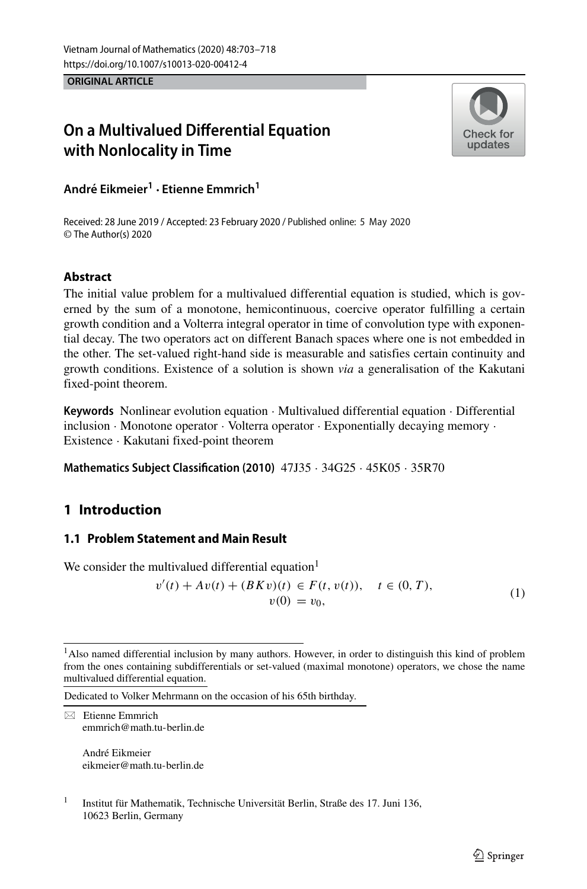**ORIGINAL ARTICLE**

# **On a Multivalued Differential Equation with Nonlocality in Time**



**Andre Eikmeier ´ <sup>1</sup> · Etienne Emmrich<sup>1</sup>**

Received: 28 June 2019 / Accepted: 23 February 2020 / Published online: 5 May 2020© The Author(s) 2020

## **Abstract**

The initial value problem for a multivalued differential equation is studied, which is governed by the sum of a monotone, hemicontinuous, coercive operator fulfilling a certain growth condition and a Volterra integral operator in time of convolution type with exponential decay. The two operators act on different Banach spaces where one is not embedded in the other. The set-valued right-hand side is measurable and satisfies certain continuity and growth conditions. Existence of a solution is shown *via* a generalisation of the Kakutani fixed-point theorem.

**Keywords** Nonlinear evolution equation · Multivalued differential equation · Differential inclusion · Monotone operator · Volterra operator · Exponentially decaying memory · Existence · Kakutani fixed-point theorem

**Mathematics Subject Classification (2010)** 47J35 · 34G25 · 45K05 · 35R70

# <span id="page-0-2"></span>**1 Introduction**

## **1.1 Problem Statement and Main Result**

We consider the multivalued differential equation<sup>1</sup>

<span id="page-0-1"></span>
$$
v'(t) + Av(t) + (BKv)(t) \in F(t, v(t)), \quad t \in (0, T),
$$
  

$$
v(0) = v_0,
$$
 (1)

Dedicated to Volker Mehrmann on the occasion of his 65th birthday.

 $\boxtimes$  Etienne Emmrich [emmrich@math.tu-berlin.de](mailto: emmrich@math.tu-berlin.de)

> André Eikmeier [eikmeier@math.tu-berlin.de](mailto: eikmeier@math.tu-berlin.de)

<span id="page-0-0"></span><sup>&</sup>lt;sup>1</sup>Also named differential inclusion by many authors. However, in order to distinguish this kind of problem from the ones containing subdifferentials or set-valued (maximal monotone) operators, we chose the name multivalued differential equation.

 $1$  Institut für Mathematik, Technische Universität Berlin, Straße des 17. Juni 136, 10623 Berlin, Germany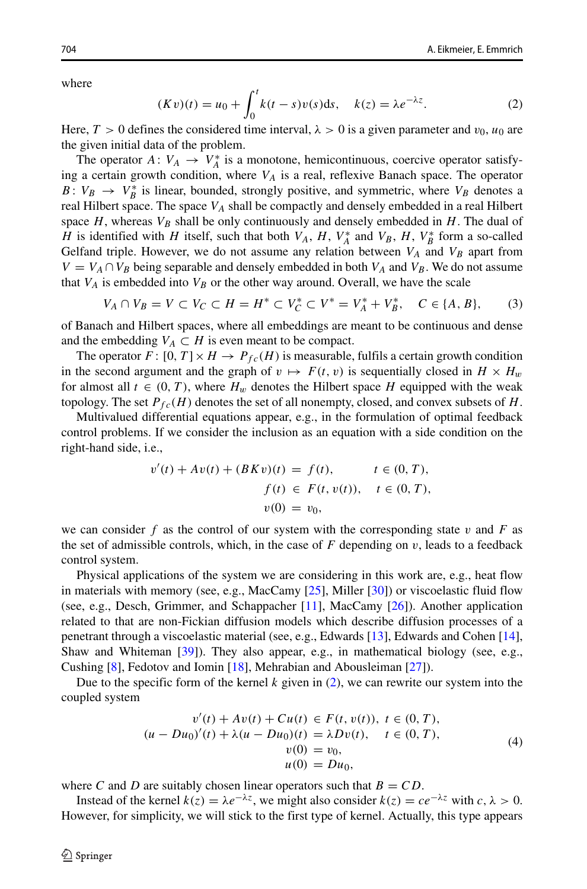where

<span id="page-1-0"></span>
$$
(Kv)(t) = u_0 + \int_0^t k(t-s)v(s)ds, \quad k(z) = \lambda e^{-\lambda z}.
$$
 (2)

Here,  $T > 0$  defines the considered time interval,  $\lambda > 0$  is a given parameter and  $v_0$ ,  $u_0$  are the given initial data of the problem.

The operator  $A: V_A \to V_A^*$  is a monotone, hemicontinuous, coercive operator satisfying a certain growth condition, where *VA* is a real, reflexive Banach space. The operator *B*:  $V_B \rightarrow V_B^*$  is linear, bounded, strongly positive, and symmetric, where  $V_B$  denotes a real Hilbert space. The space  $V_A$  shall be compactly and densely embedded in a real Hilbert space  $H$ , whereas  $V_B$  shall be only continuously and densely embedded in  $H$ . The dual of *H* is identified with *H* itself, such that both  $V_A$ ,  $H$ ,  $V_A^*$  and  $V_B$ ,  $H$ ,  $V_B^*$  form a so-called Gelfand triple. However, we do not assume any relation between  $V_A$  and  $V_B$  apart from  $V = V_A \cap V_B$  being separable and densely embedded in both  $V_A$  and  $V_B$ . We do not assume that  $V_A$  is embedded into  $V_B$  or the other way around. Overall, we have the scale

<span id="page-1-2"></span>
$$
V_A \cap V_B = V \subset V_C \subset H = H^* \subset V_C^* \subset V^* = V_A^* + V_B^*, \quad C \in \{A, B\},\tag{3}
$$

of Banach and Hilbert spaces, where all embeddings are meant to be continuous and dense and the embedding  $V_A \subset H$  is even meant to be compact.

The operator  $F: [0, T] \times H \to P_{fc}(H)$  is measurable, fulfils a certain growth condition in the second argument and the graph of  $v \mapsto F(t, v)$  is sequentially closed in  $H \times H_w$ for almost all  $t \in (0, T)$ , where  $H_w$  denotes the Hilbert space H equipped with the weak topology. The set  $P_{fc}(H)$  denotes the set of all nonempty, closed, and convex subsets of  $H$ .

Multivalued differential equations appear, e.g., in the formulation of optimal feedback control problems. If we consider the inclusion as an equation with a side condition on the right-hand side, i.e.,

$$
v'(t) + Av(t) + (BKv)(t) = f(t), \t t \in (0, T),
$$
  

$$
f(t) \in F(t, v(t)), \t t \in (0, T),
$$
  

$$
v(0) = v_0,
$$

we can consider f as the control of our system with the corresponding state  $v$  and  $F$  as the set of admissible controls, which, in the case of  $F$  depending on  $v$ , leads to a feedback control system.

Physical applications of the system we are considering in this work are, e.g., heat flow in materials with memory (see, e.g., MacCamy [\[25\]](#page-14-0), Miller [\[30\]](#page-15-0)) or viscoelastic fluid flow (see, e.g., Desch, Grimmer, and Schappacher [\[11\]](#page-14-1), MacCamy [\[26\]](#page-15-1)). Another application related to that are non-Fickian diffusion models which describe diffusion processes of a penetrant through a viscoelastic material (see, e.g., Edwards [\[13\]](#page-14-2), Edwards and Cohen [\[14\]](#page-14-3), Shaw and Whiteman [\[39\]](#page-15-2)). They also appear, e.g., in mathematical biology (see, e.g., Cushing [\[8\]](#page-14-4), Fedotov and Iomin [\[18\]](#page-14-5), Mehrabian and Abousleiman [\[27\]](#page-15-3)).

Due to the specific form of the kernel  $k$  given in  $(2)$ , we can rewrite our system into the coupled system

<span id="page-1-1"></span>
$$
v'(t) + Av(t) + Cu(t) \in F(t, v(t)), \ t \in (0, T),
$$
  
\n
$$
(u - Du_0)'(t) + \lambda (u - Du_0)(t) = \lambda Dv(t), \ t \in (0, T),
$$
  
\n
$$
v(0) = v_0,
$$
  
\n
$$
u(0) = Du_0,
$$
\n(4)

where *C* and *D* are suitably chosen linear operators such that  $B = CD$ .

Instead of the kernel  $k(z) = \lambda e^{-\lambda z}$ , we might also consider  $k(z) = ce^{-\lambda z}$  with  $c, \lambda > 0$ . However, for simplicity, we will stick to the first type of kernel. Actually, this type appears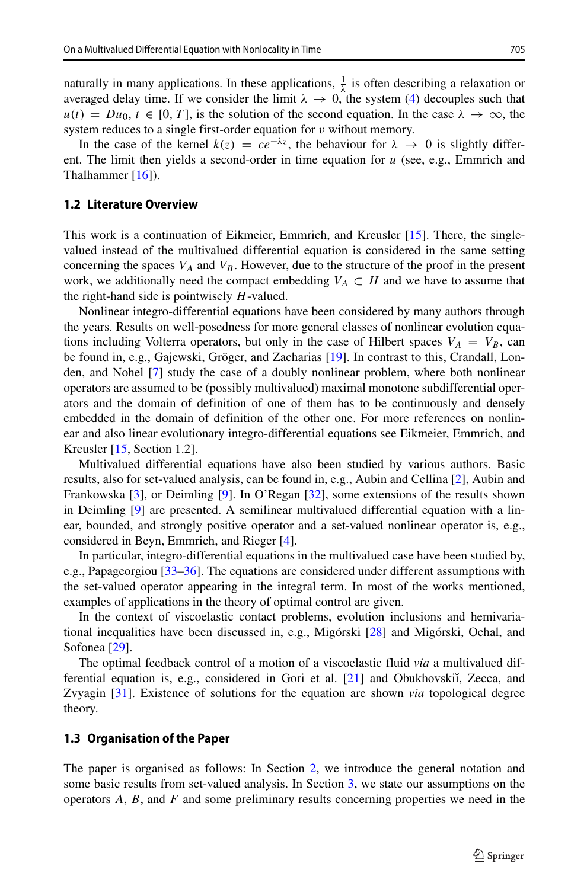naturally in many applications. In these applications,  $\frac{1}{\lambda}$  is often describing a relaxation or averaged delay time. If we consider the limit  $\lambda \to 0$ , the system [\(4\)](#page-1-1) decouples such that  $u(t) = Du_0, t \in [0, T]$ , is the solution of the second equation. In the case  $\lambda \to \infty$ , the system reduces to a single first-order equation for *v* without memory.

In the case of the kernel  $k(z) = ce^{-\lambda z}$ , the behaviour for  $\lambda \to 0$  is slightly different. The limit then yields a second-order in time equation for *u* (see, e.g., Emmrich and Thalhammer  $[16]$ ).

#### **1.2 Literature Overview**

This work is a continuation of Eikmeier, Emmrich, and Kreusler [\[15\]](#page-14-7). There, the singlevalued instead of the multivalued differential equation is considered in the same setting concerning the spaces  $V_A$  and  $V_B$ . However, due to the structure of the proof in the present work, we additionally need the compact embedding  $V_A \subset H$  and we have to assume that the right-hand side is pointwisely *H*-valued.

Nonlinear integro-differential equations have been considered by many authors through the years. Results on well-posedness for more general classes of nonlinear evolution equations including Volterra operators, but only in the case of Hilbert spaces  $V_A = V_B$ , can be found in, e.g., Gajewski, Gröger, and Zacharias [[19\]](#page-14-8). In contrast to this, Crandall, Londen, and Nohel [\[7\]](#page-14-9) study the case of a doubly nonlinear problem, where both nonlinear operators are assumed to be (possibly multivalued) maximal monotone subdifferential operators and the domain of definition of one of them has to be continuously and densely embedded in the domain of definition of the other one. For more references on nonlinear and also linear evolutionary integro-differential equations see Eikmeier, Emmrich, and Kreusler [\[15,](#page-14-7) Section 1.2].

Multivalued differential equations have also been studied by various authors. Basic results, also for set-valued analysis, can be found in, e.g., Aubin and Cellina [\[2\]](#page-14-10), Aubin and Frankowska [\[3\]](#page-14-11), or Deimling [\[9\]](#page-14-12). In O'Regan [\[32\]](#page-15-4), some extensions of the results shown in Deimling [\[9\]](#page-14-12) are presented. A semilinear multivalued differential equation with a linear, bounded, and strongly positive operator and a set-valued nonlinear operator is, e.g., considered in Beyn, Emmrich, and Rieger [\[4\]](#page-14-13).

In particular, integro-differential equations in the multivalued case have been studied by, e.g., Papageorgiou [\[33–](#page-15-5)[36\]](#page-15-6). The equations are considered under different assumptions with the set-valued operator appearing in the integral term. In most of the works mentioned, examples of applications in the theory of optimal control are given.

In the context of viscoelastic contact problems, evolution inclusions and hemivariational inequalities have been discussed in, e.g., Migórski  $[28]$  $[28]$  and Migórski, Ochal, and Sofonea [\[29\]](#page-15-8).

The optimal feedback control of a motion of a viscoelastic fluid *via* a multivalued differential equation is, e.g., considered in Gori et al.  $[21]$  and Obukhovskiı̆, Zecca, and Zvyagin [\[31\]](#page-15-9). Existence of solutions for the equation are shown *via* topological degree theory.

#### **1.3 Organisation of the Paper**

The paper is organised as follows: In Section [2,](#page-3-0) we introduce the general notation and some basic results from set-valued analysis. In Section [3,](#page-4-0) we state our assumptions on the operators *A*, *B*, and *F* and some preliminary results concerning properties we need in the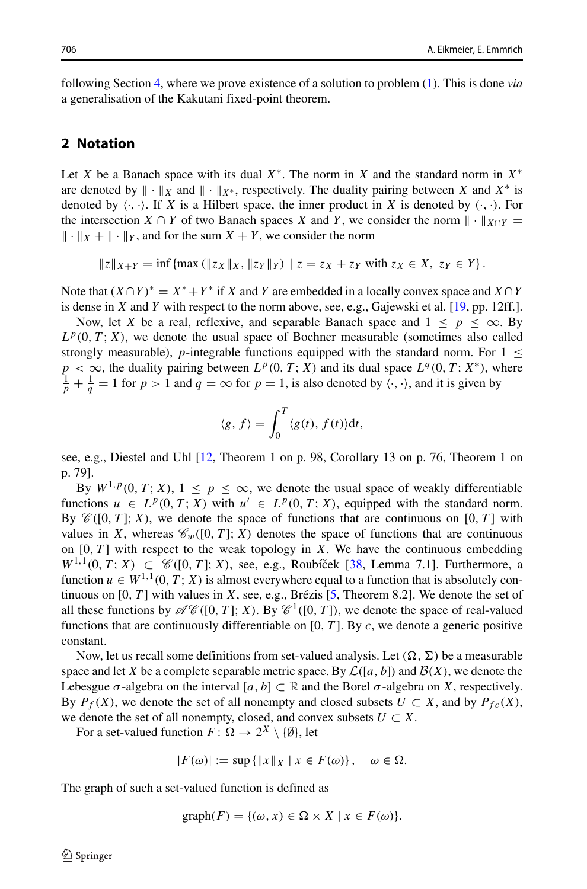following Section [4,](#page-7-0) where we prove existence of a solution to problem [\(1\)](#page-0-1). This is done *via* a generalisation of the Kakutani fixed-point theorem.

#### <span id="page-3-0"></span>**2 Notation**

Let *X* be a Banach space with its dual *X*∗. The norm in *X* and the standard norm in *X*∗ are denoted by  $\| \cdot \|_X$  and  $\| \cdot \|_{X^*}$ , respectively. The duality pairing between *X* and  $X^*$  is denoted by  $\langle \cdot, \cdot \rangle$ . If *X* is a Hilbert space, the inner product in *X* is denoted by  $(\cdot, \cdot)$ . For the intersection *X* ∩ *Y* of two Banach spaces *X* and *Y*, we consider the norm  $\| \cdot \|_{X \cap Y} =$  $\| \cdot \|_X + \| \cdot \|_Y$ , and for the sum  $X + Y$ , we consider the norm

 $||z||_{X+Y} = \inf \{ \max (||z_X||_X, ||z_Y||_Y) \mid z = z_X + z_Y \text{ with } z_X \in X, z_Y \in Y \}.$ 

Note that  $(X \cap Y)^* = X^* + Y^*$  if *X* and *Y* are embedded in a locally convex space and  $X \cap Y$ is dense in *X* and *Y* with respect to the norm above, see, e.g., Gajewski et al. [\[19,](#page-14-8) pp. 12ff.].

Now, let *X* be a real, reflexive, and separable Banach space and  $1 \leq p \leq \infty$ . By  $L^p(0, T; X)$ , we denote the usual space of Bochner measurable (sometimes also called strongly measurable), *p*-integrable functions equipped with the standard norm. For  $1 \leq$  $p < \infty$ , the duality pairing between  $L^p(0, T; X)$  and its dual space  $L^q(0, T; X^*)$ , where  $\frac{1}{p} + \frac{1}{q} = 1$  for  $p > 1$  and  $q = \infty$  for  $p = 1$ , is also denoted by  $\langle \cdot, \cdot \rangle$ , and it is given by

$$
\langle g, f \rangle = \int_0^T \langle g(t), f(t) \rangle dt,
$$

see, e.g., Diestel and Uhl [\[12,](#page-14-15) Theorem 1 on p. 98, Corollary 13 on p. 76, Theorem 1 on p. 79].

By  $W^{1,p}(0,T;X)$ ,  $1 \leq p \leq \infty$ , we denote the usual space of weakly differentiable functions  $u \in L^p(0, T; X)$  with  $u' \in L^p(0, T; X)$ , equipped with the standard norm. By  $\mathcal{C}([0, T]; X)$ , we denote the space of functions that are continuous on [0, T] with values in *X*, whereas  $\mathcal{C}_w([0, T]; X)$  denotes the space of functions that are continuous on  $[0, T]$  with respect to the weak topology in *X*. We have the continuous embedding *W*<sup>1,1</sup>(0, *T*; *X*) ⊂  $\mathcal{C}$  ([0, *T* ]; *X*), see, e.g., Roubíček [[38,](#page-15-10) Lemma 7.1]. Furthermore, a function  $u \in W^{1,1}(0,T; X)$  is almost everywhere equal to a function that is absolutely continuous on  $[0, T]$  with values in *X*, see, e.g., Brézis  $[5,$  $[5,$  Theorem 8.2]. We denote the set of all these functions by  $\mathscr{AC}([0, T]; X)$ . By  $\mathscr{C}^1([0, T])$ , we denote the space of real-valued functions that are continuously differentiable on [0*, T* ]. By *c*, we denote a generic positive constant.

Now, let us recall some definitions from set-valued analysis. Let  $(\Omega, \Sigma)$  be a measurable space and let *X* be a complete separable metric space. By  $\mathcal{L}([a, b])$  and  $\mathcal{B}(X)$ , we denote the Lebesgue  $\sigma$ -algebra on the interval  $[a, b] \subset \mathbb{R}$  and the Borel  $\sigma$ -algebra on *X*, respectively. By  $P_f(X)$ , we denote the set of all nonempty and closed subsets  $U \subset X$ , and by  $P_{fc}(X)$ , we denote the set of all nonempty, closed, and convex subsets  $U \subset X$ .

For a set-valued function  $F: \Omega \to 2^X \setminus \{\emptyset\}$ , let

$$
|F(\omega)| := \sup\left\{ \|x\|_X \mid x \in F(\omega) \right\}, \quad \omega \in \Omega.
$$

The graph of such a set-valued function is defined as

$$
\mathrm{graph}(F) = \{(\omega, x) \in \Omega \times X \mid x \in F(\omega)\}.
$$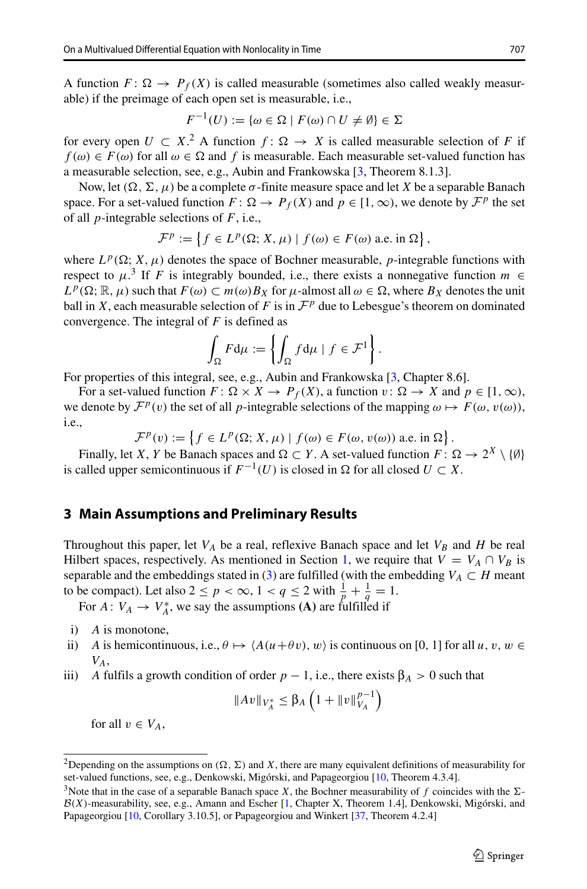A function  $F: \Omega \to P_f(X)$  is called measurable (sometimes also called weakly measurable) if the preimage of each open set is measurable, i.e.,

$$
F^{-1}(U) := \{ \omega \in \Omega \mid F(\omega) \cap U \neq \emptyset \} \in \Sigma
$$

for every open  $U \subset X$ .<sup>[2](#page-4-1)</sup> A function  $f: \Omega \to X$  is called measurable selection of *F* if  $f(\omega) \in F(\omega)$  for all  $\omega \in \Omega$  and *f* is measurable. Each measurable set-valued function has a measurable selection, see, e.g., Aubin and Frankowska [\[3,](#page-14-11) Theorem 8.1.3].

Now, let  $(Ω, Σ, μ)$  be a complete *σ*-finite measure space and let *X* be a separable Banach space. For a set-valued function  $F: \Omega \to P_f(X)$  and  $p \in [1, \infty)$ , we denote by  $\mathcal{F}^p$  the set of all *p*-integrable selections of *F*, i.e.,

$$
\mathcal{F}^p := \left\{ f \in L^p(\Omega; X, \mu) \mid f(\omega) \in F(\omega) \text{ a.e. in } \Omega \right\},\
$$

where  $L^p(\Omega; X, \mu)$  denotes the space of Bochner measurable, *p*-integrable functions with respect to  $\mu$ <sup>[3](#page-4-2)</sup>. If *F* is integrably bounded, i.e., there exists a nonnegative function *m* ∈  $L^p(\Omega; \mathbb{R}, \mu)$  such that  $F(\omega) \subset m(\omega)B_X$  for  $\mu$ -almost all  $\omega \in \Omega$ , where  $B_X$  denotes the unit ball in *X*, each measurable selection of *F* is in  $\mathcal{F}^p$  due to Lebesgue's theorem on dominated convergence. The integral of *F* is defined as

$$
\int_{\Omega} F d\mu := \left\{ \int_{\Omega} f d\mu \mid f \in \mathcal{F}^1 \right\}.
$$

For properties of this integral, see, e.g., Aubin and Frankowska [\[3,](#page-14-11) Chapter 8.6].

For a set-valued function  $F: \Omega \times X \to P_f(X)$ , a function  $v: \Omega \to X$  and  $p \in [1, \infty)$ , we denote by  $\mathcal{F}^p(v)$  the set of all *p*-integrable selections of the mapping  $\omega \mapsto F(\omega, v(\omega))$ , i.e.,

 $\mathcal{F}^p(v) := \left\{ f \in L^p(\Omega; X, \mu) \mid f(\omega) \in F(\omega, v(\omega)) \text{ a.e. in } \Omega \right\}.$ 

Finally, let *X*, *Y* be Banach spaces and  $\Omega \subset Y$ . A set-valued function  $F: \Omega \to 2^X \setminus \{\emptyset\}$ is called upper semicontinuous if  $F^{-1}(U)$  is closed in  $\Omega$  for all closed *U* ⊂ *X*.

## <span id="page-4-0"></span>**3 Main Assumptions and Preliminary Results**

Throughout this paper, let  $V_A$  be a real, reflexive Banach space and let  $V_B$  and  $H$  be real Hilbert spaces, respectively. As mentioned in Section [1,](#page-0-2) we require that  $V = V_A \cap V_B$  is separable and the embeddings stated in [\(3\)](#page-1-2) are fulfilled (with the embedding  $V_A \subset H$  meant to be compact). Let also  $2 \le p < \infty$ ,  $1 < q \le 2$  with  $\frac{1}{p} + \frac{1}{q} = 1$ .

For  $A: V_A \to V_A^*$ , we say the assumptions **(A)** are fulfilled if

- i) *A* is monotone,
- ii) *A* is hemicontinuous, i.e.,  $\theta \mapsto \langle A(u+\theta v), w \rangle$  is continuous on [0, 1] for all *u*, *v*, *w* ∈ *VA*,
- iii) *A* fulfils a growth condition of order  $p 1$ , i.e., there exists  $\beta_A > 0$  such that

$$
||Av||_{V_A^*} \leq \beta_A \left(1 + ||v||_{V_A}^{p-1}\right)
$$

for all  $v \in V_A$ ,

<span id="page-4-1"></span><sup>&</sup>lt;sup>2</sup>Depending on the assumptions on  $(\Omega, \Sigma)$  and *X*, there are many equivalent definitions of measurability for set-valued functions, see, e.g., Denkowski, Migórski, and Papageorgiou [[10,](#page-14-17) Theorem 4.3.4].

<span id="page-4-2"></span><sup>&</sup>lt;sup>3</sup>Note that in the case of a separable Banach space *X*, the Bochner measurability of f coincides with the  $\Sigma$ - $B(X)$ -measurability, see, e.g., Amann and Escher [\[1,](#page-14-18) Chapter X, Theorem 1.4], Denkowski, Migórski, and Papageorgiou [\[10,](#page-14-17) Corollary 3.10.5], or Papageorgiou and Winkert [\[37,](#page-15-11) Theorem 4.2.4]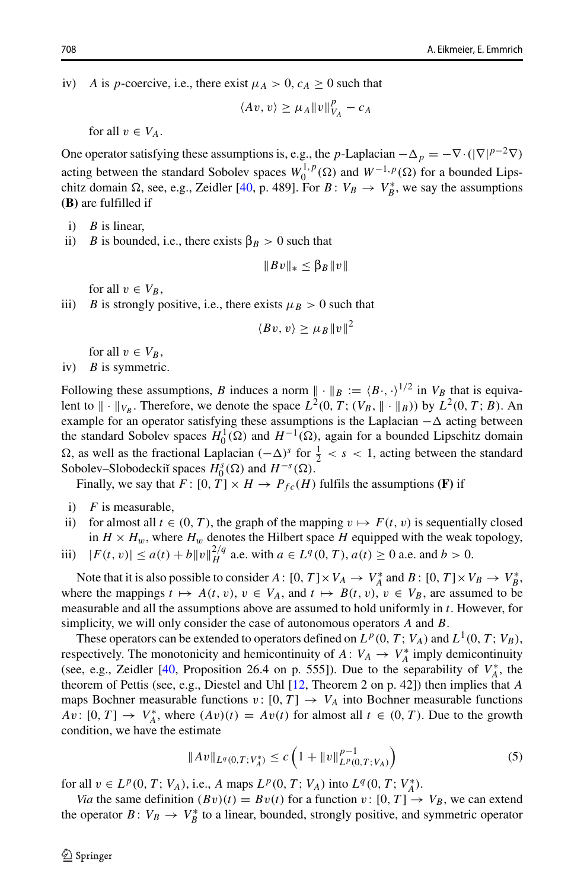iv) *A* is *p*-coercive, i.e., there exist  $\mu_A > 0$ ,  $c_A \geq 0$  such that

$$
\langle Av, v \rangle \ge \mu_A ||v||_{V_A}^p - c_A
$$

for all  $v \in V_A$ .

One operator satisfying these assumptions is, e.g., the *p*-Laplacian  $-\Delta_p = -\nabla \cdot (|\nabla|^{p-2}\nabla)$ acting between the standard Sobolev spaces  $W_0^{1,p}(\Omega)$  and  $W^{-1,p}(\Omega)$  for a bounded Lipschitz domain  $\Omega$ , see, e.g., Zeidler [\[40,](#page-15-12) p. 489]. For *B* :  $V_B \rightarrow V_B^*$ , we say the assumptions **(B)** are fulfilled if

- i) *B* is linear,
- ii) *B* is bounded, i.e., there exists  $\beta_B > 0$  such that

$$
||Bv||_* \leq \beta_B ||v||
$$

for all  $v \in V_B$ ,

iii) *B* is strongly positive, i.e., there exists  $\mu_B > 0$  such that

$$
\langle Bv, v \rangle \geq \mu_B ||v||^2
$$

for all  $v \in V_B$ ,

iv) *B* is symmetric.

Following these assumptions, *B* induces a norm  $\|\cdot\|_B := (B \cdot, \cdot)^{1/2}$  in  $V_B$  that is equivalent to  $\|\cdot\|_{V_B}$ . Therefore, we denote the space  $L^2(0, T; (V_B, \|\cdot\|_B))$  by  $L^2(0, T; B)$ . An example for an operator satisfying these assumptions is the Laplacian  $-\Delta$  acting between the standard Sobolev spaces  $H_0^1(\Omega)$  and  $H^{-1}(\Omega)$ , again for a bounded Lipschitz domain Ω, as well as the fractional Laplacian  $(-\Delta)^s$  for  $\frac{1}{2} < s < 1$ , acting between the standard Sobolev–Slobodeckiı̆**spaces**  $H_0^s(\Omega)$  and  $H^{-s}(\Omega)$ .

Finally, we say that  $F: [0, T] \times H \rightarrow P_{fc}(H)$  fulfils the assumptions **(F)** if

- i) *F* is measurable,
- ii) for almost all  $t \in (0, T)$ , the graph of the mapping  $v \mapsto F(t, v)$  is sequentially closed in  $H \times H_w$ , where  $H_w$  denotes the Hilbert space H equipped with the weak topology,
- iii)  $|F(t, v)| \le a(t) + b \|v\|_H^{2/q}$  a.e. with  $a \in L^q(0, T)$ ,  $a(t) \ge 0$  a.e. and  $b > 0$ .

Note that it is also possible to consider  $A: [0, T] \times V_A \to V_A^*$  and  $B: [0, T] \times V_B \to V_B^*$ , where the mappings  $t \mapsto A(t, v), v \in V_A$ , and  $t \mapsto B(t, v), v \in V_B$ , are assumed to be measurable and all the assumptions above are assumed to hold uniformly in *t*. However, for simplicity, we will only consider the case of autonomous operators *A* and *B*.

These operators can be extended to operators defined on  $L^p(0, T; V_A)$  and  $L^1(0, T; V_B)$ , respectively. The monotonicity and hemicontinuity of  $A: V_A \to V_A^*$  imply demicontinuity (see, e.g., Zeidler  $[40,$  Proposition 26.4 on p. 555]). Due to the separability of  $V_A^*$ , the theorem of Pettis (see, e.g., Diestel and Uhl [\[12,](#page-14-15) Theorem 2 on p. 42]) then implies that *A* maps Bochner measurable functions  $v : [0, T] \rightarrow V_A$  into Bochner measurable functions  $Av: [0, T] \to V_A^*$ , where  $(Av)(t) = Av(t)$  for almost all  $t \in (0, T)$ . Due to the growth condition, we have the estimate

<span id="page-5-0"></span>
$$
||Av||_{L^{q}(0,T;V_A^*)} \le c\left(1 + ||v||_{L^{p}(0,T;V_A)}^{p-1}\right)
$$
\n(5)

for all  $v \in L^p(0, T; V_A)$ , i.e., *A* maps  $L^p(0, T; V_A)$  into  $L^q(0, T; V_A^*)$ .

*Via* the same definition  $(Bv)(t) = Bv(t)$  for a function  $v: [0, T] \rightarrow V_B$ , we can extend the operator  $B: V_B \to V_B^*$  to a linear, bounded, strongly positive, and symmetric operator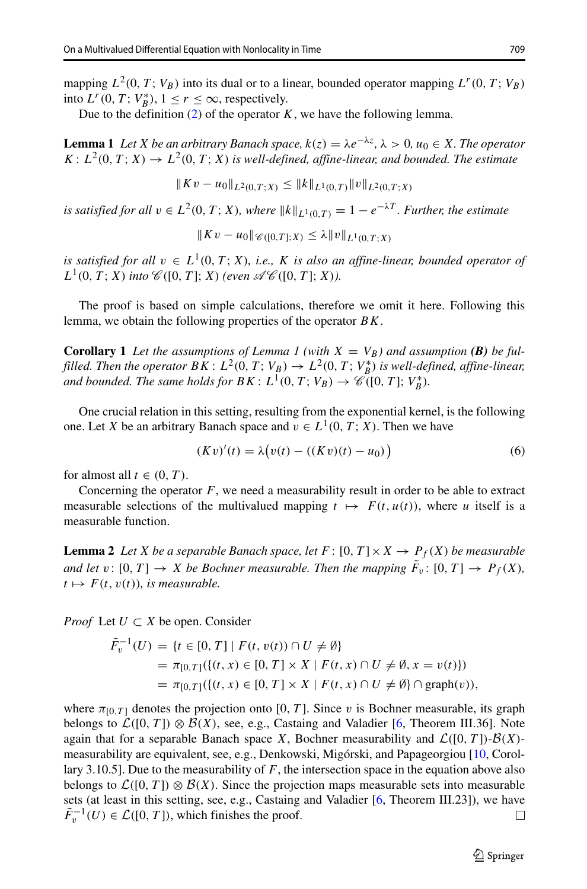mapping  $L^2(0, T; V_B)$  into its dual or to a linear, bounded operator mapping  $L^r(0, T; V_B)$ into  $L^r(0, T; V_B^*)$ ,  $1 \le r \le \infty$ , respectively.

Due to the definition  $(2)$  of the operator *K*, we have the following lemma.

**Lemma 1** *Let X be an arbitrary Banach space,*  $k(z) = \lambda e^{-\lambda z}$ ,  $\lambda > 0$ ,  $u_0 \in X$ *. The operator*  $K: L^2(0, T; X) \to L^2(0, T; X)$  *is well-defined, affine-linear, and bounded. The estimate* 

$$
||Kv - u_0||_{L^2(0,T;X)} \le ||k||_{L^1(0,T)} ||v||_{L^2(0,T;X)}
$$

*is satisfied for all*  $v \in L^2(0, T; X)$ *, where*  $||k||_{L^1(0,T)} = 1 - e^{-\lambda T}$ *. Further, the estimate* 

$$
||Kv - u_0||_{\mathscr{C}([0,T];X)} \leq \lambda ||v||_{L^1(0,T;X)}
$$

*is satisfied for all*  $v \in L^1(0, T; X)$ *, i.e., K is also an affine-linear, bounded operator of*  $L^1(0, T; X)$  *into*  $\mathcal{C}([0, T]; X)$  *(even*  $\mathcal{AC}([0, T]; X)$ *).* 

The proof is based on simple calculations, therefore we omit it here. Following this lemma, we obtain the following properties of the operator *BK*.

**Corollary 1** Let the assumptions of Lemma 1 (with  $X = V_B$ ) and assumption (B) be ful*filled. Then the operator*  $BK: L^2(0, T; V_B) \rightarrow L^2(0, T; V_B^*)$  *is well-defined, affine-linear, and bounded. The same holds for*  $BK: L^1(0, T; V_B) \rightarrow \mathscr{C}([0, T]; V_B^*)$ *.* 

One crucial relation in this setting, resulting from the exponential kernel, is the following one. Let *X* be an arbitrary Banach space and  $v \in L^1(0, T; X)$ . Then we have

<span id="page-6-0"></span>
$$
(Kv)'(t) = \lambda (v(t) - ((Kv)(t) - u_0))
$$
\n(6)

for almost all  $t \in (0, T)$ .

Concerning the operator  $F$ , we need a measurability result in order to be able to extract measurable selections of the multivalued mapping  $t \mapsto F(t, u(t))$ , where *u* itself is a measurable function.

**Lemma 2** *Let X be a separable Banach space, let*  $F : [0, T] \times X \rightarrow P_f(X)$  *be measurable and let*  $v: [0, T] \to X$  *be Bochner measurable. Then the mapping*  $F_v: [0, T] \to P_f(X)$ *,*  $t \mapsto F(t, v(t))$ *, is measurable.* 

*Proof* Let  $U \subset X$  be open. Consider

$$
\tilde{F}_v^{-1}(U) = \{t \in [0, T] \mid F(t, v(t)) \cap U \neq \emptyset\}
$$
\n
$$
= \pi_{[0, T]}(\{(t, x) \in [0, T] \times X \mid F(t, x) \cap U \neq \emptyset, x = v(t)\})
$$
\n
$$
= \pi_{[0, T]}(\{(t, x) \in [0, T] \times X \mid F(t, x) \cap U \neq \emptyset\} \cap \text{graph}(v)),
$$

where  $\pi_{[0,T]}$  denotes the projection onto [0, T]. Since *v* is Bochner measurable, its graph belongs to  $\mathcal{L}([0, T]) \otimes \mathcal{B}(X)$ , see, e.g., Castaing and Valadier [\[6,](#page-14-19) Theorem III.36]. Note again that for a separable Banach space *X*, Bochner measurability and  $\mathcal{L}([0, T])$ - $\mathcal{B}(X)$ -measurability are equivalent, see, e.g., Denkowski, Migórski, and Papageorgiou [[10,](#page-14-17) Corollary 3.10.5]. Due to the measurability of *F*, the intersection space in the equation above also belongs to  $\mathcal{L}([0, T]) \otimes \mathcal{B}(X)$ . Since the projection maps measurable sets into measurable sets (at least in this setting, see, e.g., Castaing and Valadier [\[6,](#page-14-19) Theorem III.23]), we have  $\tilde{F}_v^{-1}(U) \in \mathcal{L}([0, T])$ , which finishes the proof.  $\Box$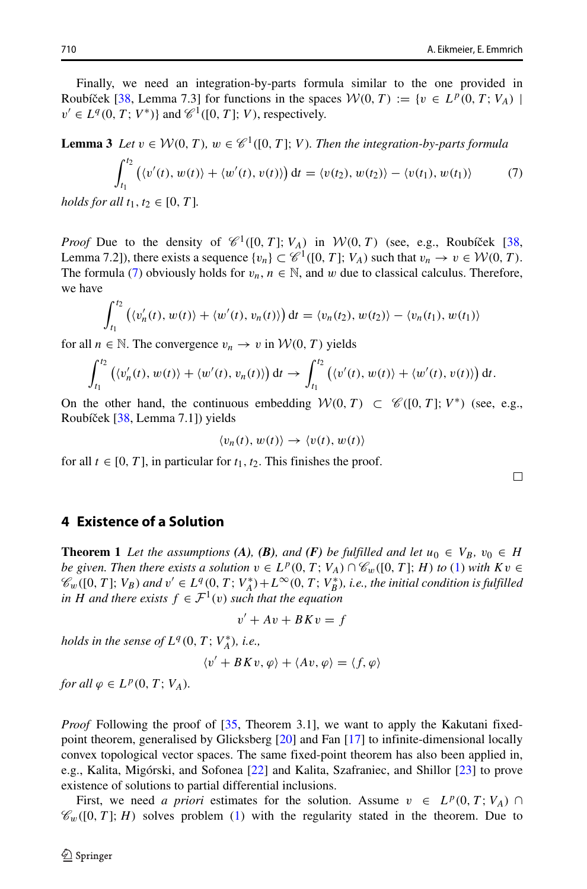Finally, we need an integration-by-parts formula similar to the one provided in Roubíček [[38,](#page-15-10) Lemma 7.3] for functions in the spaces  $W(0, T) := \{v \in L^p(0, T; V_A) \mid$  $v' \in L^q(0, T; V^*)$ } and  $\mathscr{C}^1([0, T]; V)$ , respectively.

<span id="page-7-1"></span>**Lemma 3** Let 
$$
v \in \mathcal{W}(0, T)
$$
,  $w \in \mathcal{C}^1([0, T]; V)$ . Then the integration-by-parts formula  
\n
$$
\int_{t_1}^{t_2} \left( \langle v'(t), w(t) \rangle + \langle w'(t), v(t) \rangle \right) dt = \langle v(t_2), w(t_2) \rangle - \langle v(t_1), w(t_1) \rangle \tag{7}
$$
\nholds for all  $t_1, t_2 \in [0, T]$ .

*holds for all t*1*, t*<sup>2</sup> ∈ [0*, T* ]*.*

*Proof* Due to the density of  $\mathcal{C}^1([0, T]; V_A)$  in  $\mathcal{W}(0, T)$  (see, e.g., Roubiček [[38,](#page-15-10) Lemma 7.2]), there exists a sequence  $\{v_n\} \subset \mathcal{C}^1([0, T]; V_A)$  such that  $v_n \to v \in \mathcal{W}(0, T)$ . The formula [\(7\)](#page-7-1) obviously holds for  $v_n$ ,  $n \in \mathbb{N}$ , and w due to classical calculus. Therefore, we have

$$
\int_{t_1}^{t_2} \left( \langle v'_n(t), w(t) \rangle + \langle w'(t), v_n(t) \rangle \right) dt = \langle v_n(t_2), w(t_2) \rangle - \langle v_n(t_1), w(t_1) \rangle
$$

for all  $n \in \mathbb{N}$ . The convergence  $v_n \to v$  in  $\mathcal{W}(0, T)$  yields

$$
\int_{t_1}^{t_2} \left( \langle v'_n(t), w(t) \rangle + \langle w'(t), v_n(t) \rangle \right) dt \to \int_{t_1}^{t_2} \left( \langle v'(t), w(t) \rangle + \langle w'(t), v(t) \rangle \right) dt.
$$

On the other hand, the continuous embedding  $\mathcal{W}(0, T) \subset \mathcal{C}([0, T]; V^*)$  (see, e.g., Roubíček [[38,](#page-15-10) Lemma 7.1]) yields

$$
\langle v_n(t), w(t) \rangle \to \langle v(t), w(t) \rangle
$$

for all  $t \in [0, T]$ , in particular for  $t_1, t_2$ . This finishes the proof.

П

#### <span id="page-7-0"></span>**4 Existence of a Solution**

**Theorem 1** Let the assumptions (A), (B), and (F) be fulfilled and let  $u_0 \in V_B$ ,  $v_0 \in H$ *be given. Then there exists a solution*  $v \in L^p(0, T; V_A) \cap C_w([0, T]; H)$  *to* [\(1\)](#page-0-1) *with*  $Kv \in$  $\mathscr{C}_w([0,T];V_B)$  and  $v' \in L^q(0,T;V_A^*)+L^\infty(0,T;V_B^*)$ , i.e., the initial condition is fulfilled *in H* and there exists  $f \in \mathcal{F}^1(v)$  *such that the equation* 

$$
v' + Av + BK v = f
$$

*holds in the sense of*  $L^q(0, T; V_A^*)$ *, i.e.,* 

$$
\langle v' + BK v, \varphi \rangle + \langle Av, \varphi \rangle = \langle f, \varphi \rangle
$$

*for all*  $\varphi \in L^p(0, T; V_A)$ *.* 

*Proof* Following the proof of [\[35,](#page-15-13) Theorem 3.1], we want to apply the Kakutani fixedpoint theorem, generalised by Glicksberg [\[20\]](#page-14-20) and Fan [\[17\]](#page-14-21) to infinite-dimensional locally convex topological vector spaces. The same fixed-point theorem has also been applied in, e.g., Kalita, Migórski, and Sofonea [[22\]](#page-14-22) and Kalita, Szafraniec, and Shillor [\[23\]](#page-14-23) to prove existence of solutions to partial differential inclusions.

First, we need *a priori* estimates for the solution. Assume  $v \in L^p(0, T; V_A)$  $\mathcal{C}_w([0, T]; H)$  solves problem [\(1\)](#page-0-1) with the regularity stated in the theorem. Due to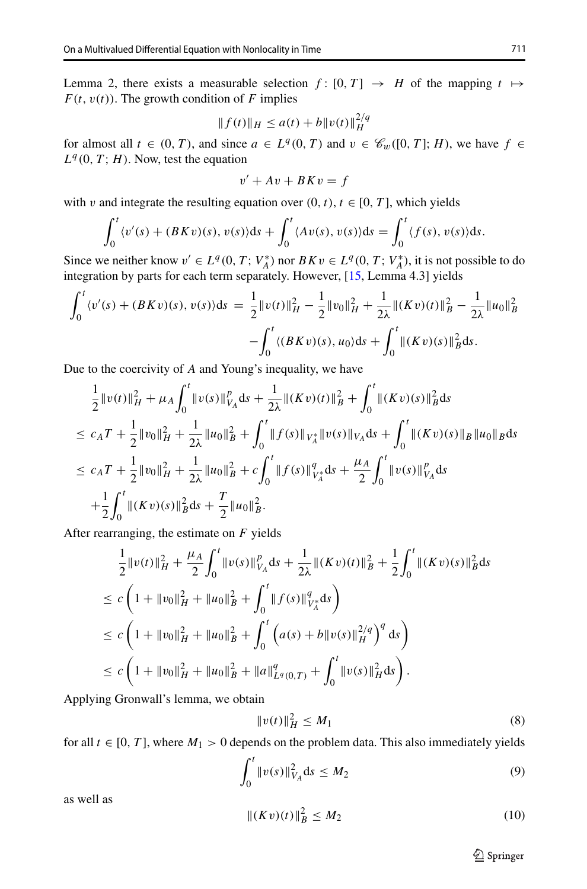Lemma 2, there exists a measurable selection  $f: [0, T] \rightarrow H$  of the mapping  $t \mapsto$  $F(t, v(t))$ . The growth condition of *F* implies

$$
|| f(t) ||_H \le a(t) + b ||v(t)||_H^{2/q}
$$

for almost all  $t \in (0, T)$ , and since  $a \in L^q(0, T)$  and  $v \in \mathcal{C}_w([0, T]; H)$ , we have  $f \in$  $L^q(0, T; H)$ . Now, test the equation

$$
v' + Av + BK v = f
$$

with *v* and integrate the resulting equation over  $(0, t)$ ,  $t \in [0, T]$ , which yields

$$
\int_0^t \langle v'(s) + (BKv)(s), v(s) \rangle ds + \int_0^t \langle Av(s), v(s) \rangle ds = \int_0^t \langle f(s), v(s) \rangle ds.
$$

Since we neither know  $v' \in L^q(0, T; V_A^*)$  nor  $BKv \in L^q(0, T; V_A^*)$ , it is not possible to do integration by parts for each term separately. However, [\[15,](#page-14-7) Lemma 4.3] yields

$$
\int_0^t \langle v'(s) + (BKv)(s), v(s) \rangle ds = \frac{1}{2} ||v(t)||_H^2 - \frac{1}{2} ||v_0||_H^2 + \frac{1}{2\lambda} ||(Kv)(t)||_B^2 - \frac{1}{2\lambda} ||u_0||_B^2
$$

$$
- \int_0^t \langle (BKv)(s), u_0 \rangle ds + \int_0^t ||(Kv)(s)||_B^2 ds.
$$

Due to the coercivity of *A* and Young's inequality, we have

$$
\frac{1}{2}||v(t)||_{H}^{2} + \mu_{A} \int_{0}^{t} ||v(s)||_{V_{A}}^{p} ds + \frac{1}{2\lambda} ||(Kv)(t)||_{B}^{2} + \int_{0}^{t} ||(Kv)(s)||_{B}^{2} ds
$$
\n
$$
\leq c_{A}T + \frac{1}{2}||v_{0}||_{H}^{2} + \frac{1}{2\lambda}||u_{0}||_{B}^{2} + \int_{0}^{t} ||f(s)||_{V_{A}^{*}}||v(s)||_{V_{A}} ds + \int_{0}^{t} ||(Kv)(s)||_{B}||u_{0}||_{B} ds
$$
\n
$$
\leq c_{A}T + \frac{1}{2}||v_{0}||_{H}^{2} + \frac{1}{2\lambda}||u_{0}||_{B}^{2} + c \int_{0}^{t} ||f(s)||_{V_{A}^{*}}^{q} ds + \frac{\mu_{A}}{2} \int_{0}^{t} ||v(s)||_{V_{A}}^{p} ds
$$
\n
$$
+ \frac{1}{2} \int_{0}^{t} ||(Kv)(s)||_{B}^{2} ds + \frac{T}{2}||u_{0}||_{B}^{2}.
$$

After rearranging, the estimate on *F* yields

$$
\frac{1}{2}||v(t)||_{H}^{2} + \frac{\mu_{A}}{2} \int_{0}^{t} ||v(s)||_{V_{A}}^{p} ds + \frac{1}{2\lambda} ||(Kv)(t)||_{B}^{2} + \frac{1}{2} \int_{0}^{t} ||(Kv)(s)||_{B}^{2} ds
$$
\n
$$
\leq c \left(1 + ||v_{0}||_{H}^{2} + ||u_{0}||_{B}^{2} + \int_{0}^{t} ||f(s)||_{V_{A}}^{q} ds\right)
$$
\n
$$
\leq c \left(1 + ||v_{0}||_{H}^{2} + ||u_{0}||_{B}^{2} + \int_{0}^{t} \left(a(s) + b||v(s)||_{H}^{2/q}\right)^{q} ds\right)
$$
\n
$$
\leq c \left(1 + ||v_{0}||_{H}^{2} + ||u_{0}||_{B}^{2} + ||a||_{L^{q}(0,T)}^{q} + \int_{0}^{t} ||v(s)||_{H}^{2} ds\right).
$$

Applying Gronwall's lemma, we obtain

<span id="page-8-0"></span>
$$
||v(t)||_H^2 \le M_1 \tag{8}
$$

for all  $t \in [0, T]$ , where  $M_1 > 0$  depends on the problem data. This also immediately yields

<span id="page-8-1"></span>
$$
\int_0^t \|v(s)\|_{V_A}^2 \, \mathrm{d}s \le M_2 \tag{9}
$$

as well as

<span id="page-8-2"></span>
$$
||(Kv)(t)||_B^2 \le M_2 \tag{10}
$$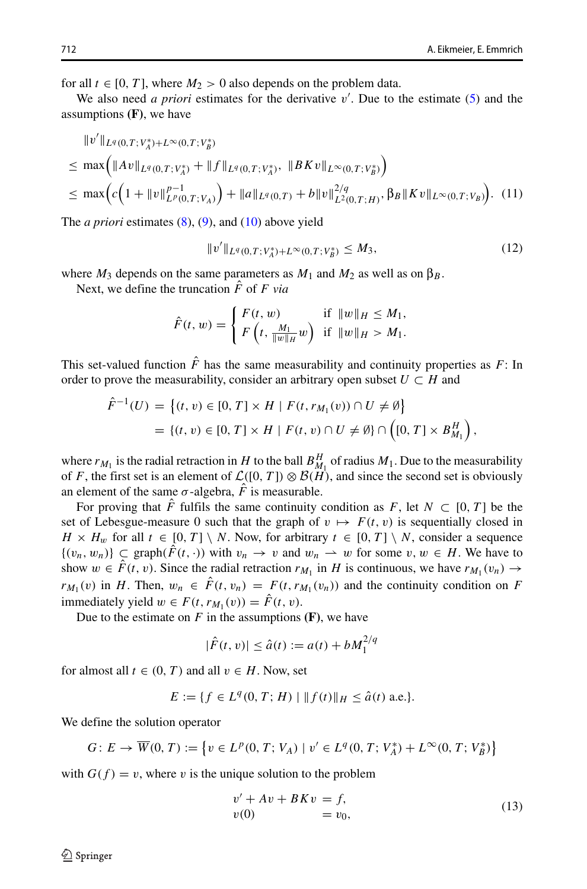for all  $t \in [0, T]$ , where  $M_2 > 0$  also depends on the problem data.

We also need *a priori* estimates for the derivative  $v'$ . Due to the estimate [\(5\)](#page-5-0) and the assumptions **(F)**, we have

$$
\|v'\|_{L^{q}(0,T;V_A^*)+L^{\infty}(0,T;V_B^*)}
$$
\n
$$
\leq \max\left(\|Av\|_{L^{q}(0,T;V_A^*)} + \|f\|_{L^{q}(0,T;V_A^*)}, \|BKv\|_{L^{\infty}(0,T;V_B^*)}\right)
$$
\n
$$
\leq \max\left(c\left(1 + \|v\|_{L^p(0,T;V_A)}^{p-1}\right) + \|a\|_{L^q(0,T)} + b\|v\|_{L^2(0,T;H)}^{2/q}, \beta_B\|Kv\|_{L^{\infty}(0,T;V_B)}\right). (11)
$$

The *a priori* estimates [\(8\)](#page-8-0), [\(9\)](#page-8-1), and [\(10\)](#page-8-2) above yield

<span id="page-9-0"></span>
$$
||v'||_{L^{q}(0,T;V_A^*)+L^{\infty}(0,T;V_B^*)} \leq M_3,
$$
\n(12)

where  $M_3$  depends on the same parameters as  $M_1$  and  $M_2$  as well as on  $\beta_B$ .

Next, we define the truncation  $\hat{F}$  of  $F$  *via* 

$$
\hat{F}(t, w) = \begin{cases} F(t, w) & \text{if } \|w\|_{H} \le M_{1}, \\ F\left(t, \frac{M_{1}}{\|w\|_{H}}w\right) & \text{if } \|w\|_{H} > M_{1}. \end{cases}
$$

This set-valued function  $\hat{F}$  has the same measurability and continuity properties as  $F$ : In order to prove the measurability, consider an arbitrary open subset  $U \subset H$  and

$$
\hat{F}^{-1}(U) = \{(t, v) \in [0, T] \times H \mid F(t, r_{M_1}(v)) \cap U \neq \emptyset\}
$$
  
=  $\{(t, v) \in [0, T] \times H \mid F(t, v) \cap U \neq \emptyset\} \cap \left([0, T] \times B_{M_1}^H\right),$ 

where  $r_{M_1}$  is the radial retraction in *H* to the ball  $B_{M_1}^H$  of radius  $M_1$ . Due to the measurability of *F*, the first set is an element of  $\mathcal{L}([0, T]) \otimes \mathcal{B}(H)$ , and since the second set is obviously an element of the same  $\sigma$ -algebra,  $\hat{F}$  is measurable.

For proving that  $\hat{F}$  fulfils the same continuity condition as  $F$ , let  $N \subset [0, T]$  be the set of Lebesgue-measure 0 such that the graph of  $v \mapsto F(t, v)$  is sequentially closed in *H*  $\times$  *H<sub>w</sub>* for all *t* ∈ [0*, T*] \ *N*. Now, for arbitrary *t* ∈ [0*, T*] \ *N*, consider a sequence  ${(v_n, w_n)}$  ⊂ graph( $F(t, \cdot)$ ) with  $v_n \to v$  and  $w_n \to w$  for some  $v, w \in H$ . We have to show  $w \in \hat{F}(t, v)$ . Since the radial retraction  $r_{M_1}$  in *H* is continuous, we have  $r_{M_1}(v_n) \to$  $r_{M_1}(v)$  in *H*. Then,  $w_n \in \hat{F}(t, v_n) = F(t, r_{M_1}(v_n))$  and the continuity condition on *F* immediately yield  $w \in F(t, r_{M_1}(v)) = \hat{F}(t, v)$ .

Due to the estimate on  $F$  in the assumptions  $(F)$ , we have

$$
|\hat{F}(t, v)| \le \hat{a}(t) := a(t) + bM_1^{2/q}
$$

for almost all  $t \in (0, T)$  and all  $v \in H$ . Now, set

$$
E := \{ f \in L^q(0, T; H) \mid ||f(t)||_H \le \hat{a}(t) \text{ a.e.} \}.
$$

We define the solution operator

$$
G: E \to \overline{W}(0, T) := \left\{ v \in L^p(0, T; V_A) \mid v' \in L^q(0, T; V_A^*) + L^\infty(0, T; V_B^*) \right\}
$$

with  $G(f) = v$ , where *v* is the unique solution to the problem

<span id="page-9-2"></span>
$$
v' + Av + BKv = f,
$$
  
\n
$$
v(0) = v_0,
$$
\n(13)

<span id="page-9-1"></span>*v*-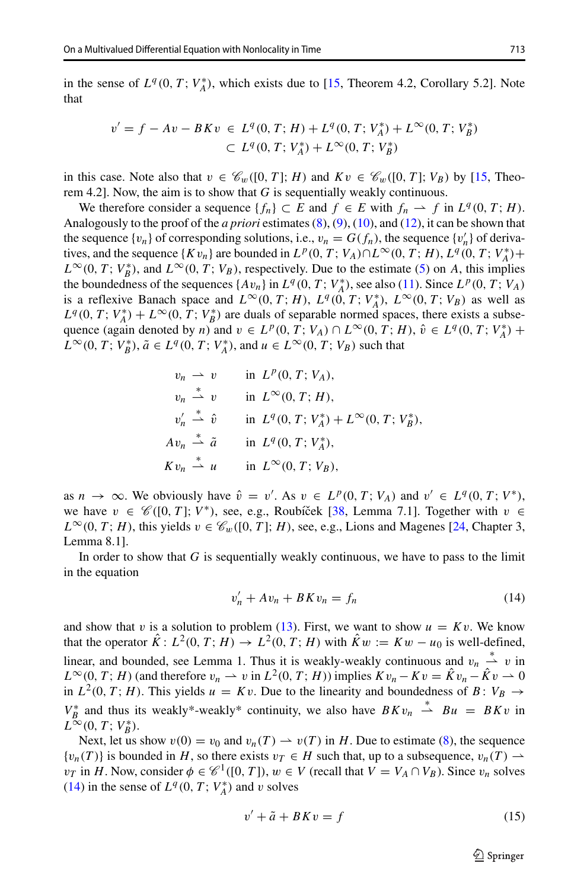in the sense of  $L^q(0, T; V_A^*)$ , which exists due to [\[15,](#page-14-7) Theorem 4.2, Corollary 5.2]. Note that

$$
v' = f - Av - BKv \in L^{q}(0, T; H) + L^{q}(0, T; V_A^*) + L^{\infty}(0, T; V_B^*)
$$
  

$$
\subset L^{q}(0, T; V_A^*) + L^{\infty}(0, T; V_B^*)
$$

in this case. Note also that  $v \in \mathcal{C}_w([0, T]; H)$  and  $Kv \in \mathcal{C}_w([0, T]; V_B)$  by [\[15,](#page-14-7) Theorem 4.2]. Now, the aim is to show that *G* is sequentially weakly continuous.

We therefore consider a sequence  ${f_n} \subset E$  and  $f \in E$  with  $f_n \to f$  in  $L^q(0, T; H)$ . Analogously to the proof of the *a priori* estimates [\(8\)](#page-8-0), [\(9\)](#page-8-1), [\(10\)](#page-8-2), and [\(12\)](#page-9-0), it can be shown that the sequence  $\{v_n\}$  of corresponding solutions, i.e.,  $v_n = G(f_n)$ , the sequence  $\{v'_n\}$  of derivatives, and the sequence  $\{Kv_n\}$  are bounded in  $L^p(0, T; V_A) \cap L^\infty(0, T; H)$ ,  $L^q(0, T; V_A^*)$ +  $L^{\infty}(0, T; V_{B}^{*})$ , and  $L^{\infty}(0, T; V_{B})$ , respectively. Due to the estimate [\(5\)](#page-5-0) on *A*, this implies the boundedness of the sequences  $\{Av_n\}$  in  $L^q(0, T; V_A^*)$ , see also [\(11\)](#page-9-1). Since  $L^p(0, T; V_A)$ is a reflexive Banach space and  $L^{\infty}(0, T; H)$ ,  $L^{q}(0, T; V_A^*)$ ,  $L^{\infty}(0, T; V_B)$  as well as  $L^q(0, T; V_A^*) + L^\infty(0, T; V_B^*)$  are duals of separable normed spaces, there exists a subsequence (again denoted by *n*) and  $v \in L^p(0, T; V_A) \cap L^\infty(0, T; H)$ ,  $\hat{v} \in L^q(0, T; V_A^*)$  + *L*<sup>∞</sup>(0*, T*; *V<sub>B</sub>*<sup>\*</sup>),  $\tilde{a} \in L^q(0, T; V_A^*)$ , and  $u \in L^\infty(0, T; V_B)$  such that

$$
v_n \rightharpoonup v \qquad \text{in } L^p(0, T; V_A),
$$
  
\n
$$
v_n \rightharpoonup v \qquad \text{in } L^\infty(0, T; H),
$$
  
\n
$$
v'_n \rightharpoonup \hat{v} \qquad \text{in } L^q(0, T; V_A^*) + L^\infty(0, T; V_B^*),
$$
  
\n
$$
Av_n \rightharpoonup \tilde{a} \qquad \text{in } L^q(0, T; V_A^*),
$$
  
\n
$$
Kv_n \rightharpoonup u \qquad \text{in } L^\infty(0, T; V_B),
$$

as  $n \to \infty$ . We obviously have  $\hat{v} = v'$ . As  $v \in L^p(0, T; V_A)$  and  $v' \in L^q(0, T; V^*)$ , we have *v* ∈  $\mathcal{C}([0, T]; V^*)$ , see, e.g., Roubíček [[38,](#page-15-10) Lemma 7.1]. Together with *v* ∈  $L^{\infty}(0, T; H)$ , this yields  $v \in \mathcal{C}_w([0, T]; H)$ , see, e.g., Lions and Magenes [\[24,](#page-14-24) Chapter 3, Lemma 8.1].

In order to show that *G* is sequentially weakly continuous, we have to pass to the limit in the equation

<span id="page-10-0"></span>
$$
v'_n + Av_n + BK v_n = f_n \tag{14}
$$

and show that *v* is a solution to problem [\(13\)](#page-9-2). First, we want to show  $u = Kv$ . We know that the operator  $\hat{K}$ :  $L^2(0, T; H) \to L^2(0, T; H)$  with  $\hat{K}w := Kw - u_0$  is well-defined, linear, and bounded, see Lemma 1. Thus it is weakly-weakly continuous and  $v_n \stackrel{*}{\rightharpoonup} v$  in  $L^{\infty}(0, T; H)$  (and therefore  $v_n \rightharpoonup v$  in  $L^2(0, T; H)$ ) implies  $Kv_n - Kv = \hat{K}v_n - \hat{K}v \rightharpoonup 0$ in  $L^2(0, T; H)$ . This yields  $u = Kv$ . Due to the linearity and boundedness of  $B: V_B \to$  $V_B^*$  and thus its weakly\*-weakly\* continuity, we also have  $B K v_n \stackrel{*}{\rightharpoonup} B u = B K v$  in  $L^{\infty}(0, T; V_B^*)$ .

Next, let us show  $v(0) = v_0$  and  $v_n(T) \to v(T)$  in *H*. Due to estimate [\(8\)](#page-8-0), the sequence  ${v_n(T)}$  is bounded in *H*, so there exists  $v_T \in H$  such that, up to a subsequence,  $v_n(T) \rightarrow$  $v_T$  in *H*. Now, consider  $\phi \in \mathcal{C}^1([0, T])$ ,  $w \in V$  (recall that  $V = V_A \cap V_B$ ). Since  $v_n$  solves [\(14\)](#page-10-0) in the sense of  $L^q(0, T; V_A^*)$  and *v* solves

<span id="page-10-1"></span>
$$
v' + \tilde{a} + BK v = f \tag{15}
$$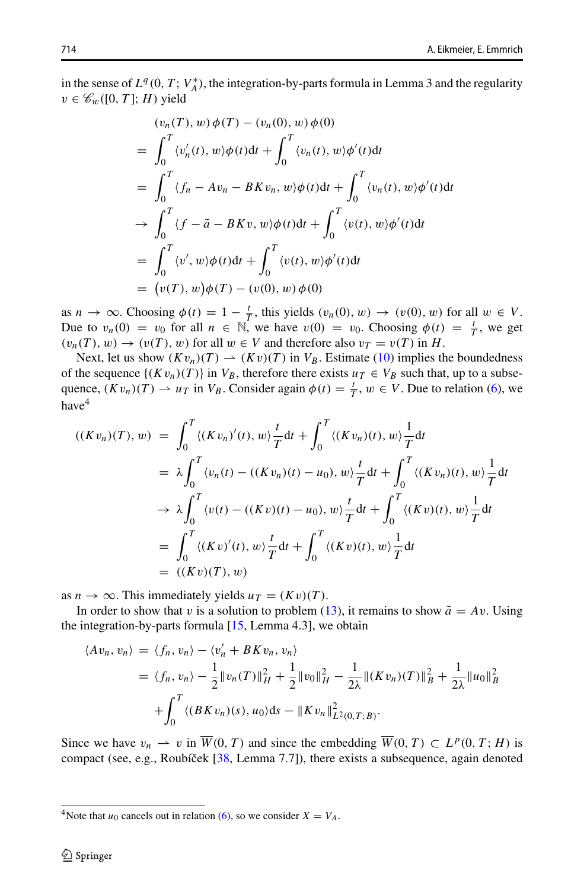in the sense of  $L^q(0, T; V_A^*)$ , the integration-by-parts formula in Lemma 3 and the regularity  $v \in \mathscr{C}_w([0, T]; H)$  yield

$$
(v_n(T), w) \phi(T) - (v_n(0), w) \phi(0)
$$
  
= 
$$
\int_0^T \langle v'_n(t), w \rangle \phi(t) dt + \int_0^T \langle v_n(t), w \rangle \phi'(t) dt
$$
  
= 
$$
\int_0^T \langle f_n - Av_n - BK v_n, w \rangle \phi(t) dt + \int_0^T \langle v_n(t), w \rangle \phi'(t) dt
$$
  

$$
\rightarrow \int_0^T \langle f - \tilde{a} - BK v, w \rangle \phi(t) dt + \int_0^T \langle v(t), w \rangle \phi'(t) dt
$$
  
= 
$$
\int_0^T \langle v', w \rangle \phi(t) dt + \int_0^T \langle v(t), w \rangle \phi'(t) dt
$$
  
= 
$$
(v(T), w) \phi(T) - (v(0), w) \phi(0)
$$

as  $n \to \infty$ . Choosing  $\phi(t) = 1 - \frac{t}{T}$ , this yields  $(v_n(0), w) \to (v(0), w)$  for all  $w \in V$ . Due to  $v_n(0) = v_0$  for all  $n \in \mathbb{N}$ , we have  $v(0) = v_0$ . Choosing  $\phi(t) = \frac{t}{T}$ , we get  $(v_n(T), w) \to (v(T), w)$  for all  $w \in V$  and therefore also  $v_T = v(T)$  in *H*.

Next, let us show  $(Kv_n)(T) \to (Kv)(T)$  in  $V_B$ . Estimate [\(10\)](#page-8-2) implies the boundedness of the sequence  $\{(Kv_n)(T)\}\$ in  $V_B$ , therefore there exists  $u_T \in V_B$  such that, up to a subsequence,  $(Kv_n)(T) \rightharpoonup u_T$  in  $V_B$ . Consider again  $\phi(t) = \frac{t}{T}$ ,  $w \in V$ . Due to relation [\(6\)](#page-6-0), we have<sup>[4](#page-11-0)</sup>

$$
((Kv_n)(T), w) = \int_0^T \langle (Kv_n)'(t), w \rangle \frac{t}{T} dt + \int_0^T \langle (Kv_n)(t), w \rangle \frac{1}{T} dt
$$
  
\n
$$
= \lambda \int_0^T \langle v_n(t) - ((Kv_n)(t) - u_0), w \rangle \frac{t}{T} dt + \int_0^T \langle (Kv_n)(t), w \rangle \frac{1}{T} dt
$$
  
\n
$$
\to \lambda \int_0^T \langle v(t) - ((Kv)(t) - u_0), w \rangle \frac{t}{T} dt + \int_0^T \langle (Kv)(t), w \rangle \frac{1}{T} dt
$$
  
\n
$$
= \int_0^T \langle (Kv)'(t), w \rangle \frac{t}{T} dt + \int_0^T \langle (Kv)(t), w \rangle \frac{1}{T} dt
$$
  
\n
$$
= ((Kv)(T), w)
$$

as  $n \to \infty$ . This immediately yields  $u_T = (Kv)(T)$ .

In order to show that *v* is a solution to problem [\(13\)](#page-9-2), it remains to show  $\tilde{a} = Av$ . Using the integration-by-parts formula [\[15,](#page-14-7) Lemma 4.3], we obtain

$$
\langle Av_n, v_n \rangle = \langle f_n, v_n \rangle - \langle v'_n + BK v_n, v_n \rangle
$$
  
=  $\langle f_n, v_n \rangle - \frac{1}{2} ||v_n(T)||_H^2 + \frac{1}{2} ||v_0||_H^2 - \frac{1}{2\lambda} ||(Kv_n)(T)||_B^2 + \frac{1}{2\lambda} ||u_0||_B^2$   
+  $\int_0^T \langle (BKv_n)(s), u_0 \rangle ds - ||Kv_n||_{L^2(0,T;B)}^2.$ 

Since we have  $v_n \rightharpoonup v$  in  $\overline{W}(0, T)$  and since the embedding  $\overline{W}(0, T) \subset L^p(0, T; H)$  is compact (see, e.g., Roubíček  $[38,$  $[38,$  Lemma 7.7]), there exists a subsequence, again denoted

<span id="page-11-0"></span><sup>&</sup>lt;sup>4</sup>Note that  $u_0$  cancels out in relation [\(6\)](#page-6-0), so we consider  $X = V_A$ .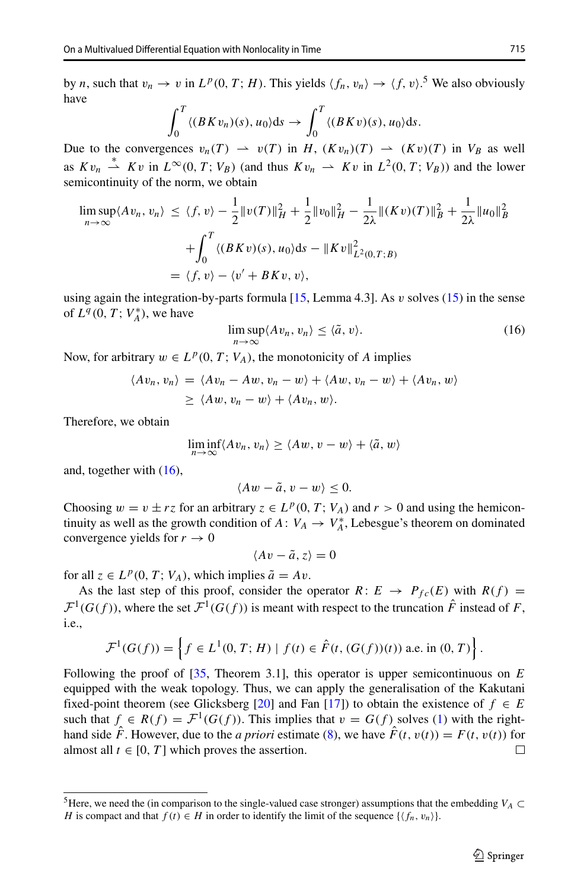by *n*, such that  $v_n \to v$  in  $L^p(0, T; H)$ . This yields  $\langle f_n, v_n \rangle \to \langle f, v \rangle$ .<sup>[5](#page-12-0)</sup> We also obviously have

$$
\int_0^T \langle (BKv_n)(s), u_0 \rangle ds \to \int_0^T \langle (BKv)(s), u_0 \rangle ds.
$$

Due to the convergences  $v_n(T) \rightarrow v(T)$  in *H*,  $(Kv_n)(T) \rightarrow (Kv)(T)$  in  $V_B$  as well as  $Kv_n \stackrel{*}{\rightharpoonup} Kv$  in  $L^{\infty}(0, T; V_B)$  (and thus  $Kv_n \rightharpoonup Kv$  in  $L^2(0, T; V_B)$ ) and the lower semicontinuity of the norm, we obtain

$$
\limsup_{n \to \infty} \langle Av_n, v_n \rangle \le \langle f, v \rangle - \frac{1}{2} ||v(T)||_H^2 + \frac{1}{2} ||v_0||_H^2 - \frac{1}{2\lambda} ||(Kv)(T)||_B^2 + \frac{1}{2\lambda} ||u_0||_B^2
$$
  
+ 
$$
\int_0^T \langle (BKv)(s), u_0 \rangle ds - ||Kv||_{L^2(0,T;B)}^2
$$
  
= 
$$
\langle f, v \rangle - \langle v' + BKv, v \rangle,
$$

using again the integration-by-parts formula [\[15,](#page-14-7) Lemma 4.3]. As *v* solves [\(15\)](#page-10-1) in the sense of  $L^q(0, T; V_A^*)$ , we have

<span id="page-12-1"></span>
$$
\limsup_{n \to \infty} \langle Av_n, v_n \rangle \le \langle \tilde{a}, v \rangle.
$$
 (16)

Now, for arbitrary  $w \in L^p(0, T; V_A)$ , the monotonicity of *A* implies

$$
\langle Av_n, v_n \rangle = \langle Av_n - Aw, v_n - w \rangle + \langle Aw, v_n - w \rangle + \langle Av_n, w \rangle
$$
  
 
$$
\geq \langle Aw, v_n - w \rangle + \langle Av_n, w \rangle.
$$

Therefore, we obtain

$$
\liminf_{n\to\infty}\langle Av_n,v_n\rangle\geq\langle Aw,v-w\rangle+\langle \tilde{a},w\rangle
$$

and, together with [\(16\)](#page-12-1),

$$
\langle Aw - \tilde{a}, v - w \rangle \leq 0.
$$

Choosing  $w = v \pm rz$  for an arbitrary  $z \in L^p(0, T; V_A)$  and  $r > 0$  and using the hemicontinuity as well as the growth condition of  $A: V_A \to V_A^*$ , Lebesgue's theorem on dominated convergence yields for  $r \to 0$ 

$$
\langle Av - \tilde{a}, z \rangle = 0
$$

for all  $z \in L^p(0, T; V_A)$ , which implies  $\tilde{a} = Av$ .

As the last step of this proof, consider the operator  $R: E \rightarrow P_{fc}(E)$  with  $R(f) =$  $\mathcal{F}^1(G(f))$ , where the set  $\mathcal{F}^1(G(f))$  is meant with respect to the truncation  $\hat{F}$  instead of *F*, i.e.,

$$
\mathcal{F}^1(G(f)) = \left\{ f \in L^1(0, T; H) \mid f(t) \in \hat{F}(t, (G(f))(t)) \text{ a.e. in } (0, T) \right\}.
$$

Following the proof of [\[35,](#page-15-13) Theorem 3.1], this operator is upper semicontinuous on *E* equipped with the weak topology. Thus, we can apply the generalisation of the Kakutani fixed-point theorem (see Glicksberg [\[20\]](#page-14-20) and Fan [\[17\]](#page-14-21)) to obtain the existence of  $f \in E$ such that  $f \in R(f) = \mathcal{F}^1(G(f))$ . This implies that  $v = G(f)$  solves [\(1\)](#page-0-1) with the righthand side  $\hat{F}$ . However, due to the *a priori* estimate [\(8\)](#page-8-0), we have  $\hat{F}(t, v(t)) = F(t, v(t))$  for almost all  $t \in [0, T]$  which proves the assertion. almost all  $t \in [0, T]$  which proves the assertion.

<span id="page-12-0"></span><sup>&</sup>lt;sup>5</sup>Here, we need the (in comparison to the single-valued case stronger) assumptions that the embedding *V<sub>A</sub>*  $\subset$ *H* is compact and that  $f(t) \in H$  in order to identify the limit of the sequence  $\{\langle f_n, v_n \rangle\}$ .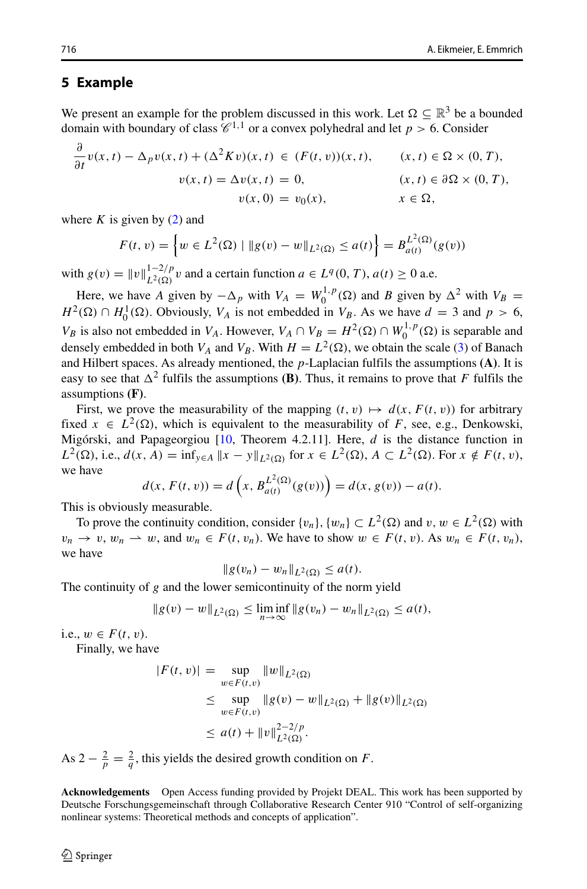#### **5 Example**

We present an example for the problem discussed in this work. Let  $\Omega \subseteq \mathbb{R}^3$  be a bounded domain with boundary of class  $\mathscr{C}^{1,1}$  or a convex polyhedral and let  $p > 6$ . Consider

$$
\frac{\partial}{\partial t}v(x,t) - \Delta_p v(x,t) + (\Delta^2 Kv)(x,t) \in (F(t,v))(x,t), \qquad (x,t) \in \Omega \times (0,T),
$$
  

$$
v(x,t) = \Delta v(x,t) = 0, \qquad (x,t) \in \partial\Omega \times (0,T),
$$
  

$$
v(x,0) = v_0(x), \qquad x \in \Omega,
$$

where  $K$  is given by  $(2)$  and

$$
F(t, v) = \left\{ w \in L^{2}(\Omega) \mid \| g(v) - w \|_{L^{2}(\Omega)} \le a(t) \right\} = B_{a(t)}^{L^{2}(\Omega)}(g(v))
$$

with  $g(v) = ||v||_{L^2(\Omega)}^{1-2/p} v$  and a certain function  $a \in L^q(0, T), a(t) \ge 0$  a.e.

Here, we have *A* given by  $-\Delta_p$  with  $V_A = W_0^{1,p}(\Omega)$  and *B* given by  $\Delta^2$  with  $V_B =$  $H^2(\Omega) \cap H_0^1(\Omega)$ . Obviously,  $V_A$  is not embedded in  $V_B$ . As we have  $d = 3$  and  $p > 6$ , *VB* is also not embedded in *V<sub>A</sub>*. However,  $V_A \cap V_B = H^2(\Omega) \cap W_0^{1,p}(\Omega)$  is separable and densely embedded in both  $V_A$  and  $V_B$ . With  $H = L^2(\Omega)$ , we obtain the scale [\(3\)](#page-1-2) of Banach and Hilbert spaces. As already mentioned, the *p*-Laplacian fulfils the assumptions **(A)**. It is easy to see that  $\Delta^2$  fulfils the assumptions **(B)**. Thus, it remains to prove that *F* fulfils the assumptions **(F)**.

First, we prove the measurability of the mapping  $(t, v) \mapsto d(x, F(t, v))$  for arbitrary fixed  $x \in L^2(\Omega)$ , which is equivalent to the measurability of *F*, see, e.g., Denkowski, Migórski, and Papageorgiou  $[10,$  $[10,$  Theorem 4.2.11]. Here, *d* is the distance function in *L*<sup>2</sup>(Ω), i.e., *d*(*x*, *A*) = inf<sub>*y*∈*A*</sub> ||*x* − *y*||<sub>*L*<sup>2</sup>(Ω)</sub> for *x* ∈ *L*<sup>2</sup>(Ω), *A* ⊂ *L*<sup>2</sup>(Ω). For *x* ∉ *F*(*t*, *v*), we have

$$
d(x, F(t, v)) = d\left(x, B_{a(t)}^{L^2(\Omega)}(g(v))\right) = d(x, g(v)) - a(t).
$$

This is obviously measurable.

To prove the continuity condition, consider  $\{v_n\}$ ,  $\{w_n\} \subset L^2(\Omega)$  and  $v, w \in L^2(\Omega)$  with  $v_n \to v$ ,  $w_n \to w$ , and  $w_n \in F(t, v_n)$ . We have to show  $w \in F(t, v)$ . As  $w_n \in F(t, v_n)$ , we have

$$
\|g(v_n)-w_n\|_{L^2(\Omega)}\leq a(t).
$$

The continuity of *g* and the lower semicontinuity of the norm yield

$$
||g(v) - w||_{L^2(\Omega)} \le \liminf_{n \to \infty} ||g(v_n) - w_n||_{L^2(\Omega)} \le a(t),
$$

i.e.,  $w ∈ F(t, v)$ .

Finally, we have

$$
|F(t, v)| = \sup_{w \in F(t, v)} \|w\|_{L^2(\Omega)}
$$
  
\n
$$
\leq \sup_{w \in F(t, v)} \|g(v) - w\|_{L^2(\Omega)} + \|g(v)\|_{L^2(\Omega)}
$$
  
\n
$$
\leq a(t) + \|v\|_{L^2(\Omega)}^{2-2/p}.
$$

As  $2 - \frac{2}{p} = \frac{2}{q}$ , this yields the desired growth condition on *F*.

**Acknowledgements** Open Access funding provided by Projekt DEAL. This work has been supported by Deutsche Forschungsgemeinschaft through Collaborative Research Center 910 "Control of self-organizing nonlinear systems: Theoretical methods and concepts of application".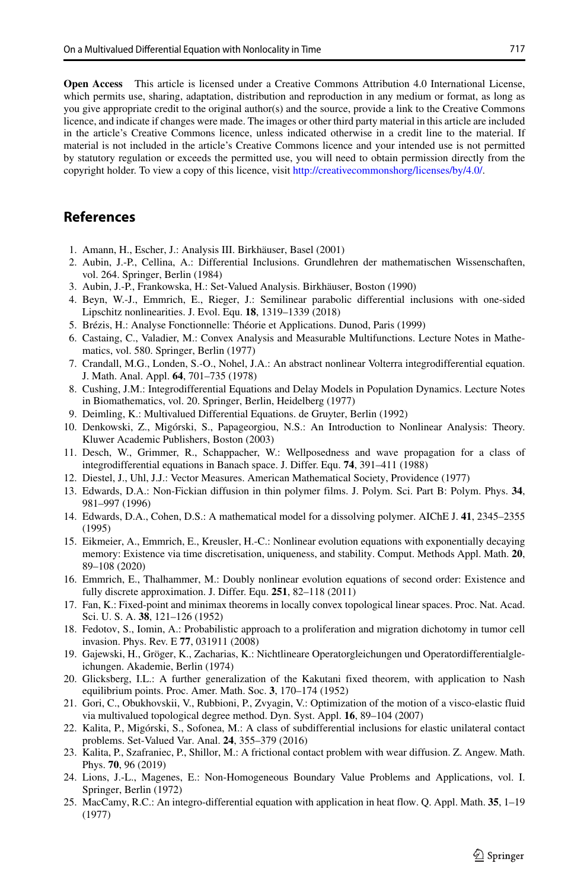**Open Access** This article is licensed under a Creative Commons Attribution 4.0 International License, which permits use, sharing, adaptation, distribution and reproduction in any medium or format, as long as you give appropriate credit to the original author(s) and the source, provide a link to the Creative Commons licence, and indicate if changes were made. The images or other third party material in this article are included in the article's Creative Commons licence, unless indicated otherwise in a credit line to the material. If material is not included in the article's Creative Commons licence and your intended use is not permitted by statutory regulation or exceeds the permitted use, you will need to obtain permission directly from the copyright holder. To view a copy of this licence, visit [http://creativecommonshorg/licenses/by/4.0/.](http://creativecommonshorg/licenses/by/4.0/)

## **References**

- <span id="page-14-18"></span>1. Amann, H., Escher, J.: Analysis III. Birkhäuser, Basel (2001)
- <span id="page-14-10"></span>2. Aubin, J.-P., Cellina, A.: Differential Inclusions. Grundlehren der mathematischen Wissenschaften, vol. 264. Springer, Berlin (1984)
- <span id="page-14-11"></span>3. Aubin, J.-P., Frankowska, H.: Set-Valued Analysis. Birkhäuser, Boston (1990)
- <span id="page-14-13"></span>4. Beyn, W.-J., Emmrich, E., Rieger, J.: Semilinear parabolic differential inclusions with one-sided Lipschitz nonlinearities. J. Evol. Equ. **18**, 1319–1339 (2018)
- <span id="page-14-16"></span>5. Brézis, H.: Analyse Fonctionnelle: Théorie et Applications. Dunod, Paris (1999)
- <span id="page-14-19"></span>6. Castaing, C., Valadier, M.: Convex Analysis and Measurable Multifunctions. Lecture Notes in Mathematics, vol. 580. Springer, Berlin (1977)
- <span id="page-14-9"></span>7. Crandall, M.G., Londen, S.-O., Nohel, J.A.: An abstract nonlinear Volterra integrodifferential equation. J. Math. Anal. Appl. **64**, 701–735 (1978)
- <span id="page-14-4"></span>8. Cushing, J.M.: Integrodifferential Equations and Delay Models in Population Dynamics. Lecture Notes in Biomathematics, vol. 20. Springer, Berlin, Heidelberg (1977)
- <span id="page-14-12"></span>9. Deimling, K.: Multivalued Differential Equations. de Gruyter, Berlin (1992)
- <span id="page-14-17"></span>10. Denkowski, Z., Migórski, S., Papageorgiou, N.S.: An Introduction to Nonlinear Analysis: Theory. Kluwer Academic Publishers, Boston (2003)
- <span id="page-14-1"></span>11. Desch, W., Grimmer, R., Schappacher, W.: Wellposedness and wave propagation for a class of integrodifferential equations in Banach space. J. Differ. Equ. **74**, 391–411 (1988)
- <span id="page-14-15"></span>12. Diestel, J., Uhl, J.J.: Vector Measures. American Mathematical Society, Providence (1977)
- <span id="page-14-2"></span>13. Edwards, D.A.: Non-Fickian diffusion in thin polymer films. J. Polym. Sci. Part B: Polym. Phys. **34**, 981–997 (1996)
- <span id="page-14-3"></span>14. Edwards, D.A., Cohen, D.S.: A mathematical model for a dissolving polymer. AIChE J. **41**, 2345–2355 (1995)
- <span id="page-14-7"></span>15. Eikmeier, A., Emmrich, E., Kreusler, H.-C.: Nonlinear evolution equations with exponentially decaying memory: Existence via time discretisation, uniqueness, and stability. Comput. Methods Appl. Math. **20**, 89–108 (2020)
- <span id="page-14-6"></span>16. Emmrich, E., Thalhammer, M.: Doubly nonlinear evolution equations of second order: Existence and fully discrete approximation. J. Differ. Equ. **251**, 82–118 (2011)
- <span id="page-14-21"></span>17. Fan, K.: Fixed-point and minimax theorems in locally convex topological linear spaces. Proc. Nat. Acad. Sci. U. S. A. **38**, 121–126 (1952)
- <span id="page-14-5"></span>18. Fedotov, S., Iomin, A.: Probabilistic approach to a proliferation and migration dichotomy in tumor cell invasion. Phys. Rev. E **77**, 031911 (2008)
- <span id="page-14-8"></span>19. Gajewski, H., Gröger, K., Zacharias, K.: Nichtlineare Operatorgleichungen und Operatordifferentialgleichungen. Akademie, Berlin (1974)
- <span id="page-14-20"></span>20. Glicksberg, I.L.: A further generalization of the Kakutani fixed theorem, with application to Nash equilibrium points. Proc. Amer. Math. Soc. **3**, 170–174 (1952)
- <span id="page-14-14"></span>21. Gori, C., Obukhovskii, V., Rubbioni, P., Zvyagin, V.: Optimization of the motion of a visco-elastic fluid via multivalued topological degree method. Dyn. Syst. Appl. **16**, 89–104 (2007)
- <span id="page-14-22"></span>22. Kalita, P., Migorski, S., Sofonea, M.: A class of subdifferential inclusions for elastic unilateral contact ´ problems. Set-Valued Var. Anal. **24**, 355–379 (2016)
- <span id="page-14-23"></span>23. Kalita, P., Szafraniec, P., Shillor, M.: A frictional contact problem with wear diffusion. Z. Angew. Math. Phys. **70**, 96 (2019)
- <span id="page-14-24"></span>24. Lions, J.-L., Magenes, E.: Non-Homogeneous Boundary Value Problems and Applications, vol. I. Springer, Berlin (1972)
- <span id="page-14-0"></span>25. MacCamy, R.C.: An integro-differential equation with application in heat flow. Q. Appl. Math. **35**, 1–19 (1977)